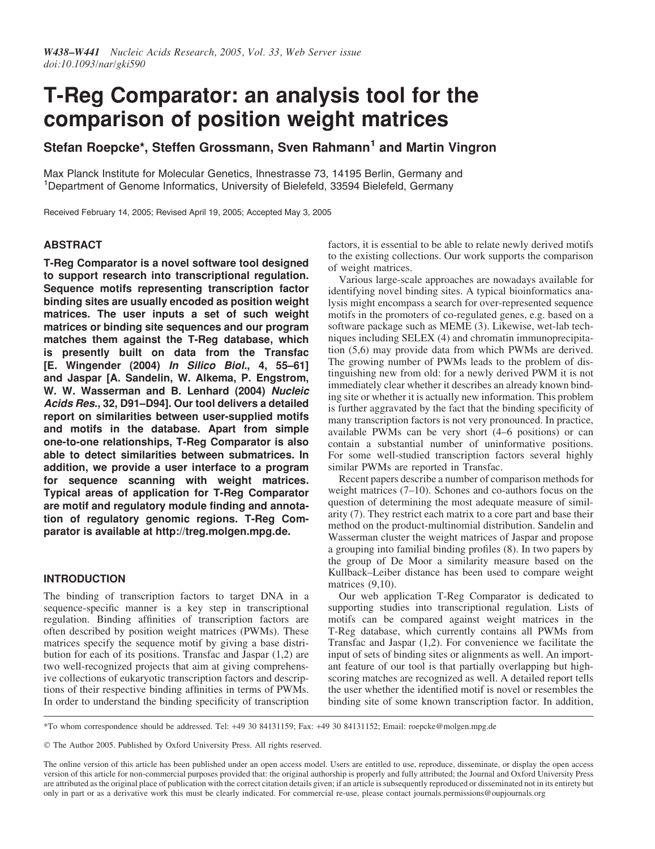# T-Reg Comparator: an analysis tool for the comparison of position weight matrices

Stefan Roepcke\*, Steffen Grossmann, Sven Rahmann<sup>1</sup> and Martin Vingron

Max Planck Institute for Molecular Genetics, Ihnestrasse 73, 14195 Berlin, Germany and <sup>1</sup>Department of Genome Informatics, University of Bielefeld, 33594 Bielefeld, Germany

Received February 14, 2005; Revised April 19, 2005; Accepted May 3, 2005

# ABSTRACT

T-Reg Comparator is a novel software tool designed to support research into transcriptional regulation. Sequence motifs representing transcription factor binding sites are usually encoded as position weight matrices. The user inputs a set of such weight matrices or binding site sequences and our program matches them against the T-Reg database, which is presently built on data from the Transfac [E. Wingender (2004) In Silico Biol., 4, 55–61] and Jaspar [A. Sandelin, W. Alkema, P. Engstrom, W. W. Wasserman and B. Lenhard (2004) Nucleic Acids Res., 32, D91–D94]. Our tool delivers a detailed report on similarities between user-supplied motifs and motifs in the database. Apart from simple one-to-one relationships, T-Reg Comparator is also able to detect similarities between submatrices. In addition, we provide a user interface to a program for sequence scanning with weight matrices. Typical areas of application for T-Reg Comparator are motif and regulatory module finding and annotation of regulatory genomic regions. T-Reg Comparator is available at http://treg.molgen.mpg.de.

## INTRODUCTION

The binding of transcription factors to target DNA in a sequence-specific manner is a key step in transcriptional regulation. Binding affinities of transcription factors are often described by position weight matrices (PWMs). These matrices specify the sequence motif by giving a base distribution for each of its positions. Transfac and Jaspar (1,2) are two well-recognized projects that aim at giving comprehensive collections of eukaryotic transcription factors and descriptions of their respective binding affinities in terms of PWMs. In order to understand the binding specificity of transcription factors, it is essential to be able to relate newly derived motifs to the existing collections. Our work supports the comparison of weight matrices.

Various large-scale approaches are nowadays available for identifying novel binding sites. A typical bioinformatics analysis might encompass a search for over-represented sequence motifs in the promoters of co-regulated genes, e.g. based on a software package such as MEME (3). Likewise, wet-lab techniques including SELEX (4) and chromatin immunoprecipitation (5,6) may provide data from which PWMs are derived. The growing number of PWMs leads to the problem of distinguishing new from old: for a newly derived PWM it is not immediately clear whether it describes an already known binding site or whether it is actually new information. This problem is further aggravated by the fact that the binding specificity of many transcription factors is not very pronounced. In practice, available PWMs can be very short (4–6 positions) or can contain a substantial number of uninformative positions. For some well-studied transcription factors several highly similar PWMs are reported in Transfac.

Recent papers describe a number of comparison methods for weight matrices (7–10). Schones and co-authors focus on the question of determining the most adequate measure of similarity (7). They restrict each matrix to a core part and base their method on the product-multinomial distribution. Sandelin and Wasserman cluster the weight matrices of Jaspar and propose a grouping into familial binding profiles (8). In two papers by the group of De Moor a similarity measure based on the Kullback–Leiber distance has been used to compare weight matrices  $(9,10)$ .

Our web application T-Reg Comparator is dedicated to supporting studies into transcriptional regulation. Lists of motifs can be compared against weight matrices in the T-Reg database, which currently contains all PWMs from Transfac and Jaspar (1,2). For convenience we facilitate the input of sets of binding sites or alignments as well. An important feature of our tool is that partially overlapping but highscoring matches are recognized as well. A detailed report tells the user whether the identified motif is novel or resembles the binding site of some known transcription factor. In addition,

\*To whom correspondence should be addressed. Tel: +49 30 84131159; Fax: +49 30 84131152; Email: roepcke@molgen.mpg.de

- The Author 2005. Published by Oxford University Press. All rights reserved.

The online version of this article has been published under an open access model. Users are entitled to use, reproduce, disseminate, or display the open access version of this article for non-commercial purposes provided that: the original authorship is properly and fully attributed; the Journal and Oxford University Press are attributed as the original place of publication with the correct citation details given; if an article is subsequently reproduced or disseminated not in its entirety but only in part or as a derivative work this must be clearly indicated. For commercial re-use, please contact journals.permissions@oupjournals.org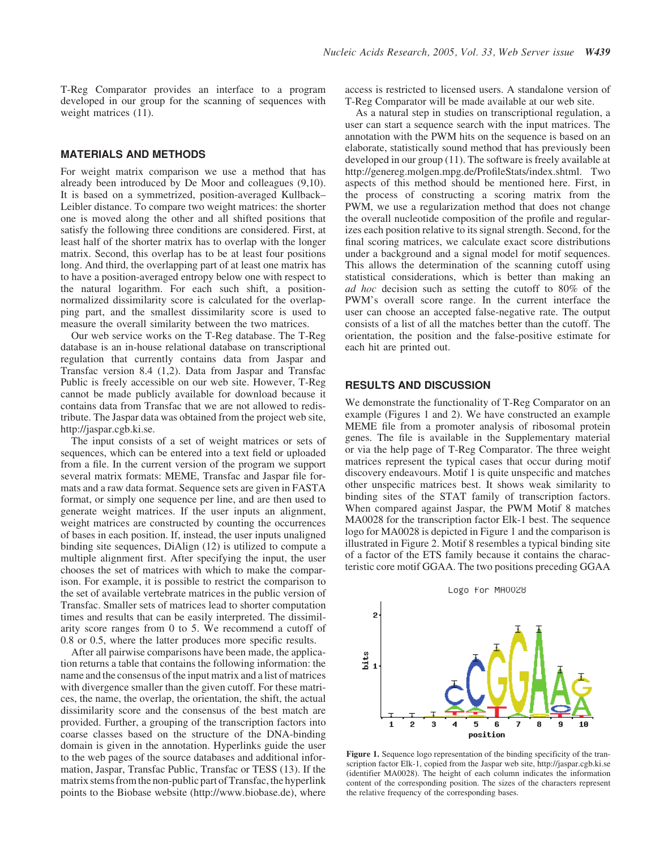T-Reg Comparator provides an interface to a program developed in our group for the scanning of sequences with weight matrices (11).

#### MATERIALS AND METHODS

For weight matrix comparison we use a method that has already been introduced by De Moor and colleagues (9,10). It is based on a symmetrized, position-averaged Kullback– Leibler distance. To compare two weight matrices: the shorter one is moved along the other and all shifted positions that satisfy the following three conditions are considered. First, at least half of the shorter matrix has to overlap with the longer matrix. Second, this overlap has to be at least four positions long. And third, the overlapping part of at least one matrix has to have a position-averaged entropy below one with respect to the natural logarithm. For each such shift, a positionnormalized dissimilarity score is calculated for the overlapping part, and the smallest dissimilarity score is used to measure the overall similarity between the two matrices.

Our web service works on the T-Reg database. The T-Reg database is an in-house relational database on transcriptional regulation that currently contains data from Jaspar and Transfac version 8.4 (1,2). Data from Jaspar and Transfac Public is freely accessible on our web site. However, T-Reg cannot be made publicly available for download because it contains data from Transfac that we are not allowed to redistribute. The Jaspar data was obtained from the project web site, http://jaspar.cgb.ki.se.

The input consists of a set of weight matrices or sets of sequences, which can be entered into a text field or uploaded from a file. In the current version of the program we support several matrix formats: MEME, Transfac and Jaspar file formats and a raw data format. Sequence sets are given in FASTA format, or simply one sequence per line, and are then used to generate weight matrices. If the user inputs an alignment, weight matrices are constructed by counting the occurrences of bases in each position. If, instead, the user inputs unaligned binding site sequences, DiAlign (12) is utilized to compute a multiple alignment first. After specifying the input, the user chooses the set of matrices with which to make the comparison. For example, it is possible to restrict the comparison to the set of available vertebrate matrices in the public version of Transfac. Smaller sets of matrices lead to shorter computation times and results that can be easily interpreted. The dissimilarity score ranges from 0 to 5. We recommend a cutoff of 0.8 or 0.5, where the latter produces more specific results.

After all pairwise comparisons have been made, the application returns a table that contains the following information: the name and the consensus of the input matrix and a list of matrices with divergence smaller than the given cutoff. For these matrices, the name, the overlap, the orientation, the shift, the actual dissimilarity score and the consensus of the best match are provided. Further, a grouping of the transcription factors into coarse classes based on the structure of the DNA-binding domain is given in the annotation. Hyperlinks guide the user to the web pages of the source databases and additional information, Jaspar, Transfac Public, Transfac or TESS (13). If the matrix stems from the non-public part of Transfac, the hyperlink points to the Biobase website (http://www.biobase.de), where access is restricted to licensed users. A standalone version of T-Reg Comparator will be made available at our web site.

As a natural step in studies on transcriptional regulation, a user can start a sequence search with the input matrices. The annotation with the PWM hits on the sequence is based on an elaborate, statistically sound method that has previously been developed in our group (11). The software is freely available at http://genereg.molgen.mpg.de/ProfileStats/index.shtml. Two aspects of this method should be mentioned here. First, in the process of constructing a scoring matrix from the PWM, we use a regularization method that does not change the overall nucleotide composition of the profile and regularizes each position relative to its signal strength. Second, for the final scoring matrices, we calculate exact score distributions under a background and a signal model for motif sequences. This allows the determination of the scanning cutoff using statistical considerations, which is better than making an ad hoc decision such as setting the cutoff to 80% of the PWM's overall score range. In the current interface the user can choose an accepted false-negative rate. The output consists of a list of all the matches better than the cutoff. The orientation, the position and the false-positive estimate for each hit are printed out.

## RESULTS AND DISCUSSION

We demonstrate the functionality of T-Reg Comparator on an example (Figures 1 and 2). We have constructed an example MEME file from a promoter analysis of ribosomal protein genes. The file is available in the Supplementary material or via the help page of T-Reg Comparator. The three weight matrices represent the typical cases that occur during motif discovery endeavours. Motif 1 is quite unspecific and matches other unspecific matrices best. It shows weak similarity to binding sites of the STAT family of transcription factors. When compared against Jaspar, the PWM Motif 8 matches MA0028 for the transcription factor Elk-1 best. The sequence logo for MA0028 is depicted in Figure 1 and the comparison is illustrated in Figure 2. Motif 8 resembles a typical binding site of a factor of the ETS family because it contains the characteristic core motif GGAA. The two positions preceding GGAA



Figure 1. Sequence logo representation of the binding specificity of the transcription factor Elk-1, copied from the Jaspar web site, http://jaspar.cgb.ki.se (identifier MA0028). The height of each column indicates the information content of the corresponding position. The sizes of the characters represent the relative frequency of the corresponding bases.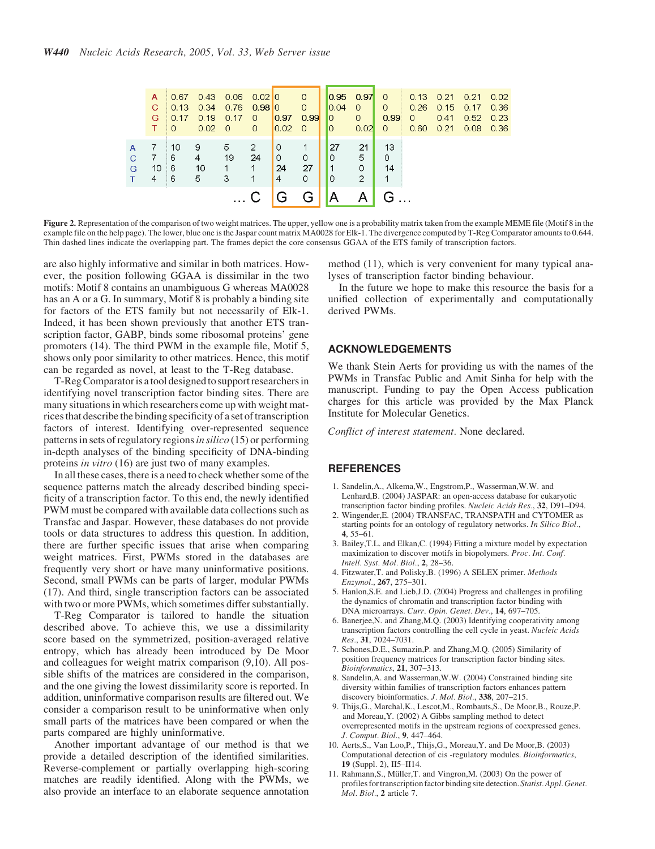|        | A<br>C<br>G.<br>T. | 0.67<br>0.13<br>0.17<br>$\Omega$ | 0.34<br>0.19<br>0.02 | $0.43$ $0.06$ $0.02$ 0<br>0.76<br>0.17<br>- 0 | 0.9810<br>0<br>0  | 0.97<br>0.02                   | $\Omega$<br>0<br>0.99<br>$\circ$ 0 | 0.95 <sub>1</sub><br>0.04<br>0<br>0 | 0.97<br>$\Omega$<br>$\Omega$<br>0.02 | $\Omega$<br>0<br>0.99<br>$\Omega$ | 0.26<br>0<br>0.60 | $0.13$ $0.21$ $0.21$<br>0.15<br>0.41<br>0.21 | 0.17<br>0.52<br>0.08 | 0.02<br>0.36<br>0.23<br>0.36 |
|--------|--------------------|----------------------------------|----------------------|-----------------------------------------------|-------------------|--------------------------------|------------------------------------|-------------------------------------|--------------------------------------|-----------------------------------|-------------------|----------------------------------------------|----------------------|------------------------------|
| С<br>G | 10<br>4            | 10<br>6<br>6<br>6                | 9<br>4<br>10<br>5    | 5<br>19<br>3                                  | 2<br>24<br>1<br>1 | $\overline{0}$<br>0<br>24<br>4 | 0<br>27<br>$\Omega$                | 27<br>0<br>$\mathbf 1$<br>$\Omega$  | 21<br>5<br>0<br>2                    | 13<br>0<br>14                     |                   |                                              |                      |                              |
|        |                    |                                  |                      |                                               |                   | G                              | G                                  | A                                   |                                      | G.                                |                   |                                              |                      |                              |

Figure 2. Representation of the comparison of two weight matrices. The upper, yellow one is a probability matrix taken from the example MEME file (Motif 8 in the example file on the help page). The lower, blue one is the Jaspar count matrix MA0028 for Elk-1. The divergence computed by T-Reg Comparator amounts to 0.644. Thin dashed lines indicate the overlapping part. The frames depict the core consensus GGAA of the ETS family of transcription factors.

are also highly informative and similar in both matrices. However, the position following GGAA is dissimilar in the two motifs: Motif 8 contains an unambiguous G whereas MA0028 has an A or a G. In summary, Motif 8 is probably a binding site for factors of the ETS family but not necessarily of Elk-1. Indeed, it has been shown previously that another ETS transcription factor, GABP, binds some ribosomal proteins' gene promoters (14). The third PWM in the example file, Motif 5, shows only poor similarity to other matrices. Hence, this motif can be regarded as novel, at least to the T-Reg database.

T-Reg Comparator is a tool designed to support researchers in identifying novel transcription factor binding sites. There are many situations in which researchers come up with weight matrices that describe the binding specificity of a set of transcription factors of interest. Identifying over-represented sequence patterns in sets of regulatory regions in silico  $(15)$  or performing in-depth analyses of the binding specificity of DNA-binding proteins in vitro (16) are just two of many examples.

In all these cases, there is a need to check whether some of the sequence patterns match the already described binding specificity of a transcription factor. To this end, the newly identified PWM must be compared with available data collections such as Transfac and Jaspar. However, these databases do not provide tools or data structures to address this question. In addition, there are further specific issues that arise when comparing weight matrices. First, PWMs stored in the databases are frequently very short or have many uninformative positions. Second, small PWMs can be parts of larger, modular PWMs (17). And third, single transcription factors can be associated with two or more PWMs, which sometimes differ substantially.

T-Reg Comparator is tailored to handle the situation described above. To achieve this, we use a dissimilarity score based on the symmetrized, position-averaged relative entropy, which has already been introduced by De Moor and colleagues for weight matrix comparison (9,10). All possible shifts of the matrices are considered in the comparison, and the one giving the lowest dissimilarity score is reported. In addition, uninformative comparison results are filtered out. We consider a comparison result to be uninformative when only small parts of the matrices have been compared or when the parts compared are highly uninformative.

Another important advantage of our method is that we provide a detailed description of the identified similarities. Reverse-complement or partially overlapping high-scoring matches are readily identified. Along with the PWMs, we also provide an interface to an elaborate sequence annotation method (11), which is very convenient for many typical analyses of transcription factor binding behaviour.

In the future we hope to make this resource the basis for a unified collection of experimentally and computationally derived PWMs.

### ACKNOWLEDGEMENTS

We thank Stein Aerts for providing us with the names of the PWMs in Transfac Public and Amit Sinha for help with the manuscript. Funding to pay the Open Access publication charges for this article was provided by the Max Planck Institute for Molecular Genetics.

Conflict of interest statement. None declared.

#### **REFERENCES**

- 1. Sandelin,A., Alkema,W., Engstrom,P., Wasserman,W.W. and Lenhard,B. (2004) JASPAR: an open-access database for eukaryotic transcription factor binding profiles. Nucleic Acids Res., 32, D91–D94.
- 2. Wingender,E. (2004) TRANSFAC, TRANSPATH and CYTOMER as starting points for an ontology of regulatory networks. In Silico Biol., 4, 55–61.
- 3. Bailey,T.L. and Elkan,C. (1994) Fitting a mixture model by expectation maximization to discover motifs in biopolymers. Proc. Int. Conf. Intell. Syst. Mol. Biol., 2, 28–36.
- 4. Fitzwater,T. and Polisky,B. (1996) A SELEX primer. Methods Enzymol., 267, 275–301.
- 5. Hanlon,S.E. and Lieb,J.D. (2004) Progress and challenges in profiling the dynamics of chromatin and transcription factor binding with DNA microarrays. Curr. Opin. Genet. Dev., 14, 697–705.
- 6. Banerjee,N. and Zhang,M.Q. (2003) Identifying cooperativity among transcription factors controlling the cell cycle in yeast. Nucleic Acids Res., 31, 7024–7031.
- 7. Schones,D.E., Sumazin,P. and Zhang,M.Q. (2005) Similarity of position frequency matrices for transcription factor binding sites. Bioinformatics, 21, 307–313.
- 8. Sandelin,A. and Wasserman,W.W. (2004) Constrained binding site diversity within families of transcription factors enhances pattern discovery bioinformatics. J. Mol. Biol., 338, 207-215.
- 9. Thijs,G., Marchal,K., Lescot,M., Rombauts,S., De Moor,B., Rouze,P. and Moreau,Y. (2002) A Gibbs sampling method to detect overrepresented motifs in the upstream regions of coexpressed genes. J. Comput. Biol., 9, 447–464.
- 10. Aerts,S., Van Loo,P., Thijs,G., Moreau,Y. and De Moor,B. (2003) Computational detection of cis -regulatory modules. Bioinformatics, 19 (Suppl. 2), II5–II14.
- 11. Rahmann, S., Müller, T. and Vingron, M. (2003) On the power of profiles for transcription factor binding site detection. Statist. Appl. Genet. Mol. Biol., 2 article 7.